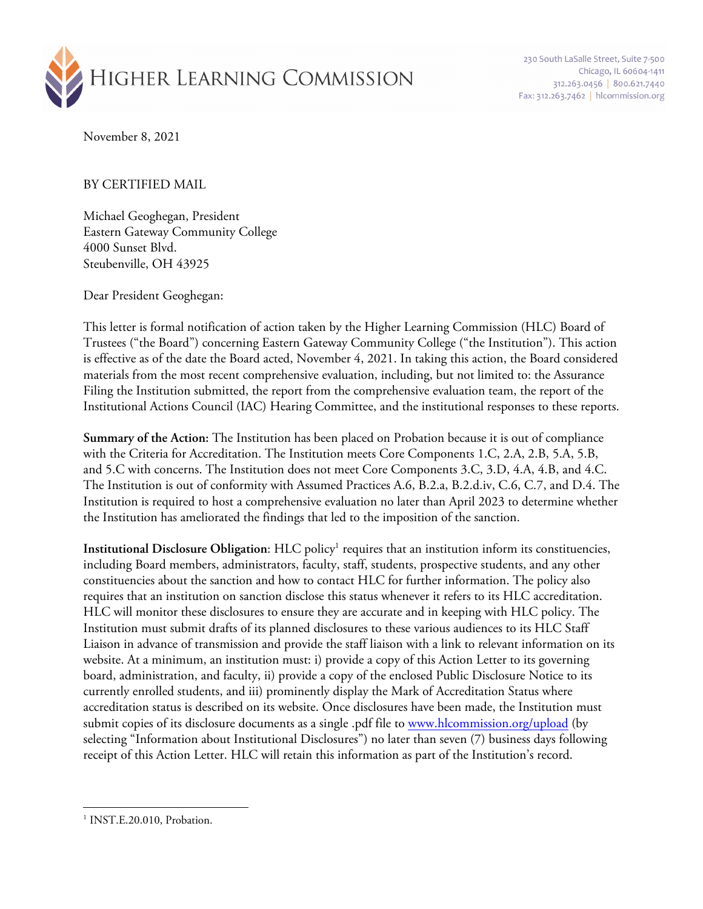

230 South LaSalle Street, Suite 7-500 Chicago, IL 60604-1411 312.263.0456 | 800.621.7440 Fax: 312.263.7462 | hlcommission.org

November 8, 2021

BY CERTIFIED MAIL

Michael Geoghegan, President Eastern Gateway Community College 4000 Sunset Blvd. Steubenville, OH 43925

Dear President Geoghegan:

This letter is formal notification of action taken by the Higher Learning Commission (HLC) Board of Trustees ("the Board") concerning Eastern Gateway Community College ("the Institution"). This action is effective as of the date the Board acted, November 4, 2021. In taking this action, the Board considered materials from the most recent comprehensive evaluation, including, but not limited to: the Assurance Filing the Institution submitted, the report from the comprehensive evaluation team, the report of the Institutional Actions Council (IAC) Hearing Committee, and the institutional responses to these reports.

**Summary of the Action:** The Institution has been placed on Probation because it is out of compliance with the Criteria for Accreditation. The Institution meets Core Components 1.C, 2.A, 2.B, 5.A, 5.B, and 5.C with concerns. The Institution does not meet Core Components 3.C, 3.D, 4.A, 4.B, and 4.C. The Institution is out of conformity with Assumed Practices A.6, B.2.a, B.2.d.iv, C.6, C.7, and D.4. The Institution is required to host a comprehensive evaluation no later than April 2023 to determine whether the Institution has ameliorated the findings that led to the imposition of the sanction.

**Institutional Disclosure Obligation**: HLC policy<sup>1</sup> requires that an institution inform its constituencies, including Board members, administrators, faculty, staff, students, prospective students, and any other constituencies about the sanction and how to contact HLC for further information. The policy also requires that an institution on sanction disclose this status whenever it refers to its HLC accreditation. HLC will monitor these disclosures to ensure they are accurate and in keeping with HLC policy. The Institution must submit drafts of its planned disclosures to these various audiences to its HLC Staff Liaison in advance of transmission and provide the staff liaison with a link to relevant information on its website. At a minimum, an institution must: i) provide a copy of this Action Letter to its governing board, administration, and faculty, ii) provide a copy of the enclosed Public Disclosure Notice to its currently enrolled students, and iii) prominently display the Mark of Accreditation Status where accreditation status is described on its website. Once disclosures have been made, the Institution must submit copies of its disclosure documents as a single .pdf file to www.hlcommission.org/upload (by selecting "Information about Institutional Disclosures") no later than seven (7) business days following receipt of this Action Letter. HLC will retain this information as part of the Institution's record.

<sup>&</sup>lt;sup>1</sup> INST.E.20.010, Probation.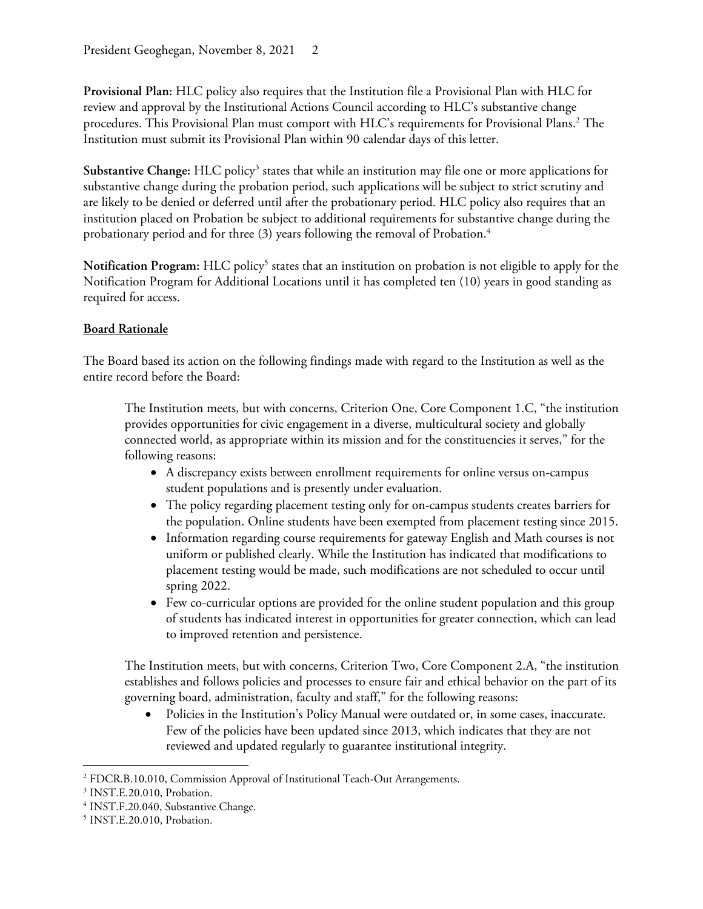**Provisional Plan:** HLC policy also requires that the Institution file a Provisional Plan with HLC for review and approval by the Institutional Actions Council according to HLC's substantive change procedures. This Provisional Plan must comport with HLC's requirements for Provisional Plans. <sup>2</sup> The Institution must submit its Provisional Plan within 90 calendar days of this letter.

**Substantive Change:** HLC policy3 states that while an institution may file one or more applications for substantive change during the probation period, such applications will be subject to strict scrutiny and are likely to be denied or deferred until after the probationary period. HLC policy also requires that an institution placed on Probation be subject to additional requirements for substantive change during the probationary period and for three (3) years following the removal of Probation.<sup>4</sup>

Notification Program: HLC policy<sup>5</sup> states that an institution on probation is not eligible to apply for the Notification Program for Additional Locations until it has completed ten (10) years in good standing as required for access.

## **Board Rationale**

The Board based its action on the following findings made with regard to the Institution as well as the entire record before the Board:

The Institution meets, but with concerns, Criterion One, Core Component 1.C, "the institution provides opportunities for civic engagement in a diverse, multicultural society and globally connected world, as appropriate within its mission and for the constituencies it serves," for the following reasons:

- A discrepancy exists between enrollment requirements for online versus on-campus student populations and is presently under evaluation.
- The policy regarding placement testing only for on-campus students creates barriers for the population. Online students have been exempted from placement testing since 2015.
- Information regarding course requirements for gateway English and Math courses is not uniform or published clearly. While the Institution has indicated that modifications to placement testing would be made, such modifications are not scheduled to occur until spring 2022.
- Few co-curricular options are provided for the online student population and this group of students has indicated interest in opportunities for greater connection, which can lead to improved retention and persistence.

The Institution meets, but with concerns, Criterion Two, Core Component 2.A, "the institution establishes and follows policies and processes to ensure fair and ethical behavior on the part of its governing board, administration, faculty and staff," for the following reasons:

Policies in the Institution's Policy Manual were outdated or, in some cases, inaccurate. Few of the policies have been updated since 2013, which indicates that they are not reviewed and updated regularly to guarantee institutional integrity.

<sup>2</sup> FDCR.B.10.010, Commission Approval of Institutional Teach-Out Arrangements.

<sup>3</sup> INST.E.20.010, Probation.

<sup>&</sup>lt;sup>4</sup> INST.F.20.040, Substantive Change.

<sup>5</sup> INST.E.20.010, Probation.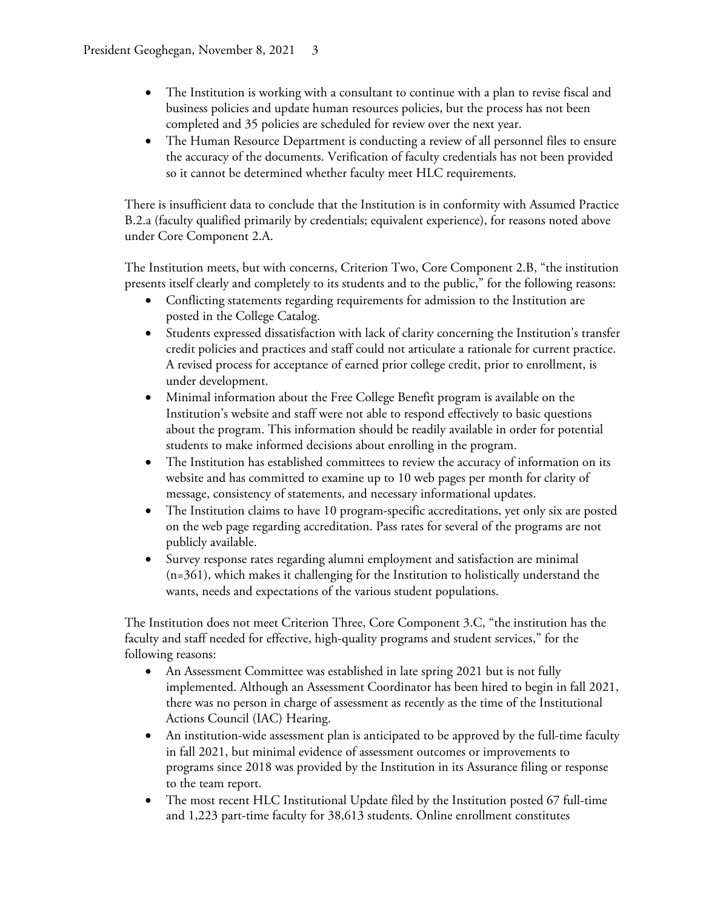- The Institution is working with a consultant to continue with a plan to revise fiscal and business policies and update human resources policies, but the process has not been completed and 35 policies are scheduled for review over the next year.
- The Human Resource Department is conducting a review of all personnel files to ensure the accuracy of the documents. Verification of faculty credentials has not been provided so it cannot be determined whether faculty meet HLC requirements.

There is insufficient data to conclude that the Institution is in conformity with Assumed Practice B.2.a (faculty qualified primarily by credentials; equivalent experience), for reasons noted above under Core Component 2.A.

The Institution meets, but with concerns, Criterion Two, Core Component 2.B, "the institution presents itself clearly and completely to its students and to the public," for the following reasons:

- Conflicting statements regarding requirements for admission to the Institution are posted in the College Catalog.
- Students expressed dissatisfaction with lack of clarity concerning the Institution's transfer credit policies and practices and staff could not articulate a rationale for current practice. A revised process for acceptance of earned prior college credit, prior to enrollment, is under development.
- Minimal information about the Free College Benefit program is available on the Institution's website and staff were not able to respond effectively to basic questions about the program. This information should be readily available in order for potential students to make informed decisions about enrolling in the program.
- The Institution has established committees to review the accuracy of information on its website and has committed to examine up to 10 web pages per month for clarity of message, consistency of statements, and necessary informational updates.
- The Institution claims to have 10 program-specific accreditations, yet only six are posted on the web page regarding accreditation. Pass rates for several of the programs are not publicly available.
- Survey response rates regarding alumni employment and satisfaction are minimal  $(n=361)$ , which makes it challenging for the Institution to holistically understand the wants, needs and expectations of the various student populations.

The Institution does not meet Criterion Three, Core Component 3.C, "the institution has the faculty and staff needed for effective, high-quality programs and student services," for the following reasons:

- An Assessment Committee was established in late spring 2021 but is not fully implemented. Although an Assessment Coordinator has been hired to begin in fall 2021, there was no person in charge of assessment as recently as the time of the Institutional Actions Council (IAC) Hearing.
- An institution-wide assessment plan is anticipated to be approved by the full-time faculty in fall 2021, but minimal evidence of assessment outcomes or improvements to programs since 2018 was provided by the Institution in its Assurance filing or response to the team report.
- The most recent HLC Institutional Update filed by the Institution posted 67 full-time and 1,223 part-time faculty for 38,613 students. Online enrollment constitutes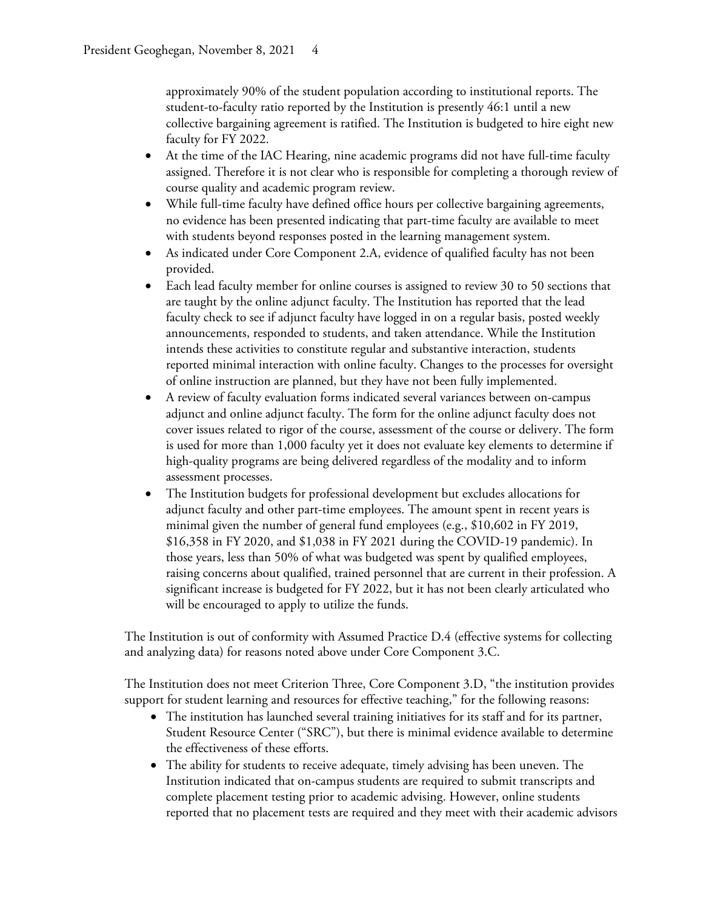approximately 90% of the student population according to institutional reports. The student-to-faculty ratio reported by the Institution is presently 46:1 until a new collective bargaining agreement is ratified. The Institution is budgeted to hire eight new faculty for FY 2022.

- At the time of the IAC Hearing, nine academic programs did not have full-time faculty assigned. Therefore it is not clear who is responsible for completing a thorough review of course quality and academic program review.
- While full-time faculty have defined office hours per collective bargaining agreements, no evidence has been presented indicating that part-time faculty are available to meet with students beyond responses posted in the learning management system.
- As indicated under Core Component 2.A, evidence of qualified faculty has not been provided.
- Each lead faculty member for online courses is assigned to review 30 to 50 sections that are taught by the online adjunct faculty. The Institution has reported that the lead faculty check to see if adjunct faculty have logged in on a regular basis, posted weekly announcements, responded to students, and taken attendance. While the Institution intends these activities to constitute regular and substantive interaction, students reported minimal interaction with online faculty. Changes to the processes for oversight of online instruction are planned, but they have not been fully implemented.
- A review of faculty evaluation forms indicated several variances between on-campus adjunct and online adjunct faculty. The form for the online adjunct faculty does not cover issues related to rigor of the course, assessment of the course or delivery. The form is used for more than 1,000 faculty yet it does not evaluate key elements to determine if high-quality programs are being delivered regardless of the modality and to inform assessment processes.
- The Institution budgets for professional development but excludes allocations for adjunct faculty and other part-time employees. The amount spent in recent years is minimal given the number of general fund employees (e.g., \$10,602 in FY 2019, \$16,358 in FY 2020, and \$1,038 in FY 2021 during the COVID-19 pandemic). In those years, less than 50% of what was budgeted was spent by qualified employees, raising concerns about qualified, trained personnel that are current in their profession. A significant increase is budgeted for FY 2022, but it has not been clearly articulated who will be encouraged to apply to utilize the funds.

The Institution is out of conformity with Assumed Practice D.4 (effective systems for collecting and analyzing data) for reasons noted above under Core Component 3.C.

The Institution does not meet Criterion Three, Core Component 3.D, "the institution provides support for student learning and resources for effective teaching," for the following reasons:

- The institution has launched several training initiatives for its staff and for its partner, Student Resource Center ("SRC"), but there is minimal evidence available to determine the effectiveness of these efforts.
- The ability for students to receive adequate, timely advising has been uneven. The Institution indicated that on-campus students are required to submit transcripts and complete placement testing prior to academic advising. However, online students reported that no placement tests are required and they meet with their academic advisors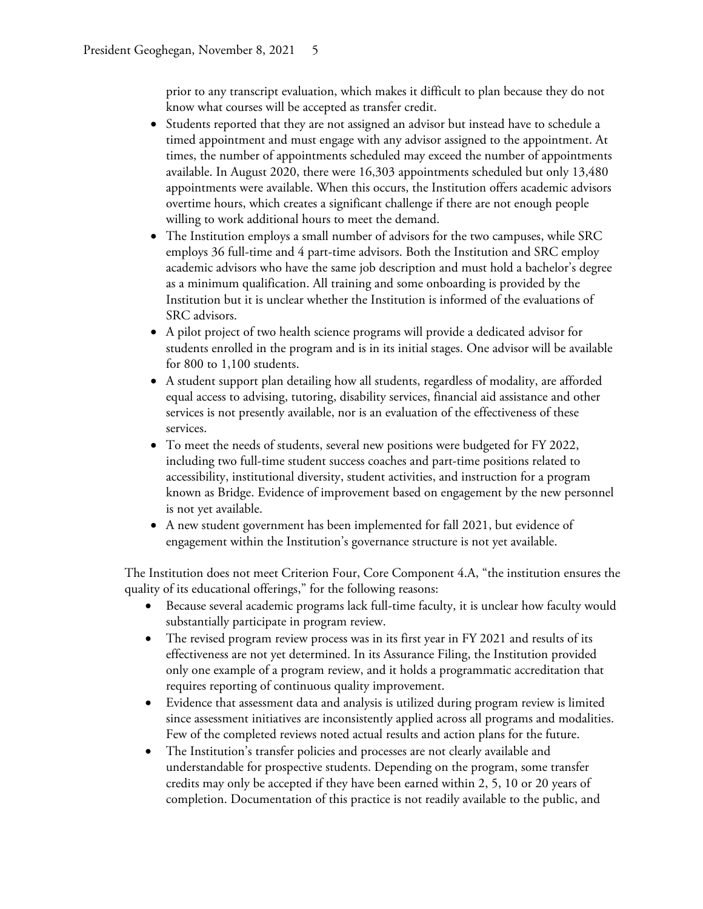prior to any transcript evaluation, which makes it difficult to plan because they do not know what courses will be accepted as transfer credit.

- Students reported that they are not assigned an advisor but instead have to schedule a timed appointment and must engage with any advisor assigned to the appointment. At times, the number of appointments scheduled may exceed the number of appointments available. In August 2020, there were 16,303 appointments scheduled but only 13,480 appointments were available. When this occurs, the Institution offers academic advisors overtime hours, which creates a significant challenge if there are not enough people willing to work additional hours to meet the demand.
- The Institution employs a small number of advisors for the two campuses, while SRC employs 36 full-time and 4 part-time advisors. Both the Institution and SRC employ academic advisors who have the same job description and must hold a bachelor's degree as a minimum qualification. All training and some onboarding is provided by the Institution but it is unclear whether the Institution is informed of the evaluations of SRC advisors.
- A pilot project of two health science programs will provide a dedicated advisor for students enrolled in the program and is in its initial stages. One advisor will be available for 800 to 1,100 students.
- A student support plan detailing how all students, regardless of modality, are afforded equal access to advising, tutoring, disability services, financial aid assistance and other services is not presently available, nor is an evaluation of the effectiveness of these services.
- To meet the needs of students, several new positions were budgeted for FY 2022, including two full-time student success coaches and part-time positions related to accessibility, institutional diversity, student activities, and instruction for a program known as Bridge. Evidence of improvement based on engagement by the new personnel is not yet available.
- A new student government has been implemented for fall 2021, but evidence of engagement within the Institution's governance structure is not yet available.

The Institution does not meet Criterion Four, Core Component 4.A, "the institution ensures the quality of its educational offerings," for the following reasons:

- Because several academic programs lack full-time faculty, it is unclear how faculty would substantially participate in program review.
- The revised program review process was in its first year in FY 2021 and results of its effectiveness are not yet determined. In its Assurance Filing, the Institution provided only one example of a program review, and it holds a programmatic accreditation that requires reporting of continuous quality improvement.
- Evidence that assessment data and analysis is utilized during program review is limited since assessment initiatives are inconsistently applied across all programs and modalities. Few of the completed reviews noted actual results and action plans for the future.
- The Institution's transfer policies and processes are not clearly available and understandable for prospective students. Depending on the program, some transfer credits may only be accepted if they have been earned within 2, 5, 10 or 20 years of completion. Documentation of this practice is not readily available to the public, and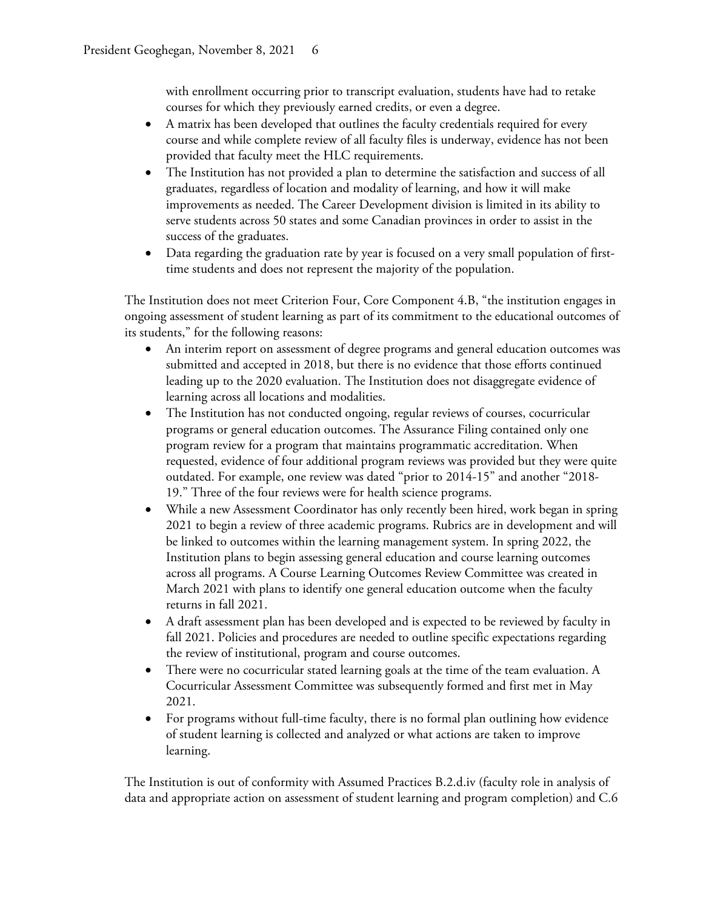with enrollment occurring prior to transcript evaluation, students have had to retake courses for which they previously earned credits, or even a degree.

- A matrix has been developed that outlines the faculty credentials required for every course and while complete review of all faculty files is underway, evidence has not been provided that faculty meet the HLC requirements.
- The Institution has not provided a plan to determine the satisfaction and success of all graduates, regardless of location and modality of learning, and how it will make improvements as needed. The Career Development division is limited in its ability to serve students across 50 states and some Canadian provinces in order to assist in the success of the graduates.
- Data regarding the graduation rate by year is focused on a very small population of firsttime students and does not represent the majority of the population.

The Institution does not meet Criterion Four, Core Component 4.B, "the institution engages in ongoing assessment of student learning as part of its commitment to the educational outcomes of its students," for the following reasons:

- An interim report on assessment of degree programs and general education outcomes was submitted and accepted in 2018, but there is no evidence that those efforts continued leading up to the 2020 evaluation. The Institution does not disaggregate evidence of learning across all locations and modalities.
- The Institution has not conducted ongoing, regular reviews of courses, cocurricular programs or general education outcomes. The Assurance Filing contained only one program review for a program that maintains programmatic accreditation. When requested, evidence of four additional program reviews was provided but they were quite outdated. For example, one review was dated "prior to 2014-15" and another "2018- 19." Three of the four reviews were for health science programs.
- While a new Assessment Coordinator has only recently been hired, work began in spring 2021 to begin a review of three academic programs. Rubrics are in development and will be linked to outcomes within the learning management system. In spring 2022, the Institution plans to begin assessing general education and course learning outcomes across all programs. A Course Learning Outcomes Review Committee was created in March 2021 with plans to identify one general education outcome when the faculty returns in fall 2021.
- A draft assessment plan has been developed and is expected to be reviewed by faculty in fall 2021. Policies and procedures are needed to outline specific expectations regarding the review of institutional, program and course outcomes.
- There were no cocurricular stated learning goals at the time of the team evaluation. A Cocurricular Assessment Committee was subsequently formed and first met in May 2021.
- For programs without full-time faculty, there is no formal plan outlining how evidence of student learning is collected and analyzed or what actions are taken to improve learning.

The Institution is out of conformity with Assumed Practices B.2.d.iv (faculty role in analysis of data and appropriate action on assessment of student learning and program completion) and C.6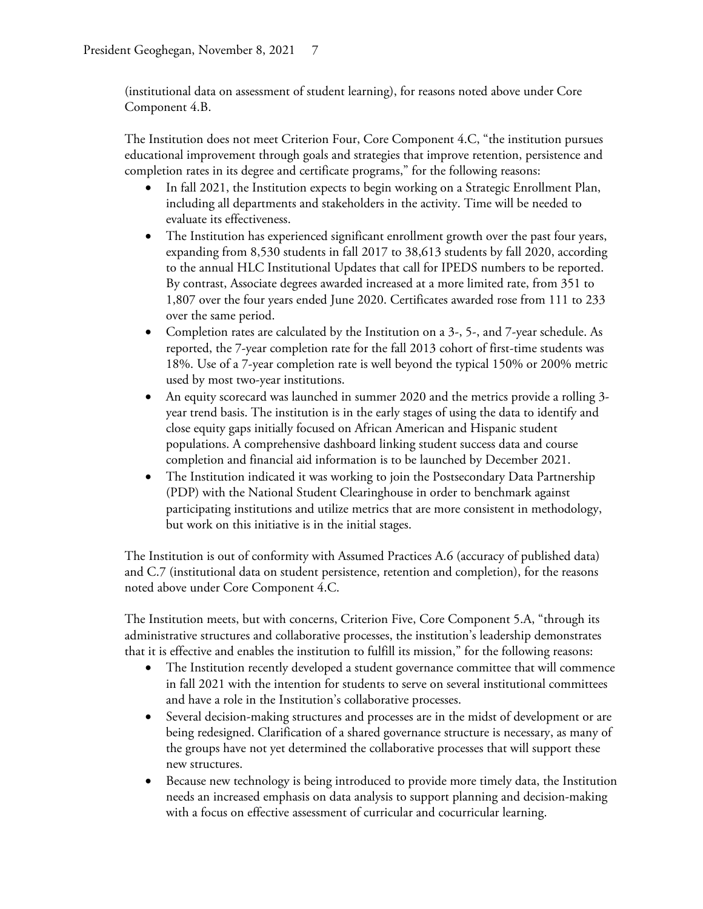(institutional data on assessment of student learning), for reasons noted above under Core Component 4.B.

The Institution does not meet Criterion Four, Core Component 4.C, "the institution pursues educational improvement through goals and strategies that improve retention, persistence and completion rates in its degree and certificate programs," for the following reasons:

- In fall 2021, the Institution expects to begin working on a Strategic Enrollment Plan, including all departments and stakeholders in the activity. Time will be needed to evaluate its effectiveness.
- The Institution has experienced significant enrollment growth over the past four years, expanding from 8,530 students in fall 2017 to 38,613 students by fall 2020, according to the annual HLC Institutional Updates that call for IPEDS numbers to be reported. By contrast, Associate degrees awarded increased at a more limited rate, from 351 to 1,807 over the four years ended June 2020. Certificates awarded rose from 111 to 233 over the same period.
- Completion rates are calculated by the Institution on a 3-, 5-, and 7-year schedule. As reported, the 7-year completion rate for the fall 2013 cohort of first-time students was 18%. Use of a 7-year completion rate is well beyond the typical 150% or 200% metric used by most two-year institutions.
- An equity scorecard was launched in summer 2020 and the metrics provide a rolling 3 year trend basis. The institution is in the early stages of using the data to identify and close equity gaps initially focused on African American and Hispanic student populations. A comprehensive dashboard linking student success data and course completion and financial aid information is to be launched by December 2021.
- The Institution indicated it was working to join the Postsecondary Data Partnership (PDP) with the National Student Clearinghouse in order to benchmark against participating institutions and utilize metrics that are more consistent in methodology, but work on this initiative is in the initial stages.

The Institution is out of conformity with Assumed Practices A.6 (accuracy of published data) and C.7 (institutional data on student persistence, retention and completion), for the reasons noted above under Core Component 4.C.

The Institution meets, but with concerns, Criterion Five, Core Component 5.A, "through its administrative structures and collaborative processes, the institution's leadership demonstrates that it is effective and enables the institution to fulfill its mission," for the following reasons:

- The Institution recently developed a student governance committee that will commence in fall 2021 with the intention for students to serve on several institutional committees and have a role in the Institution's collaborative processes.
- Several decision-making structures and processes are in the midst of development or are being redesigned. Clarification of a shared governance structure is necessary, as many of the groups have not yet determined the collaborative processes that will support these new structures.
- Because new technology is being introduced to provide more timely data, the Institution needs an increased emphasis on data analysis to support planning and decision-making with a focus on effective assessment of curricular and cocurricular learning.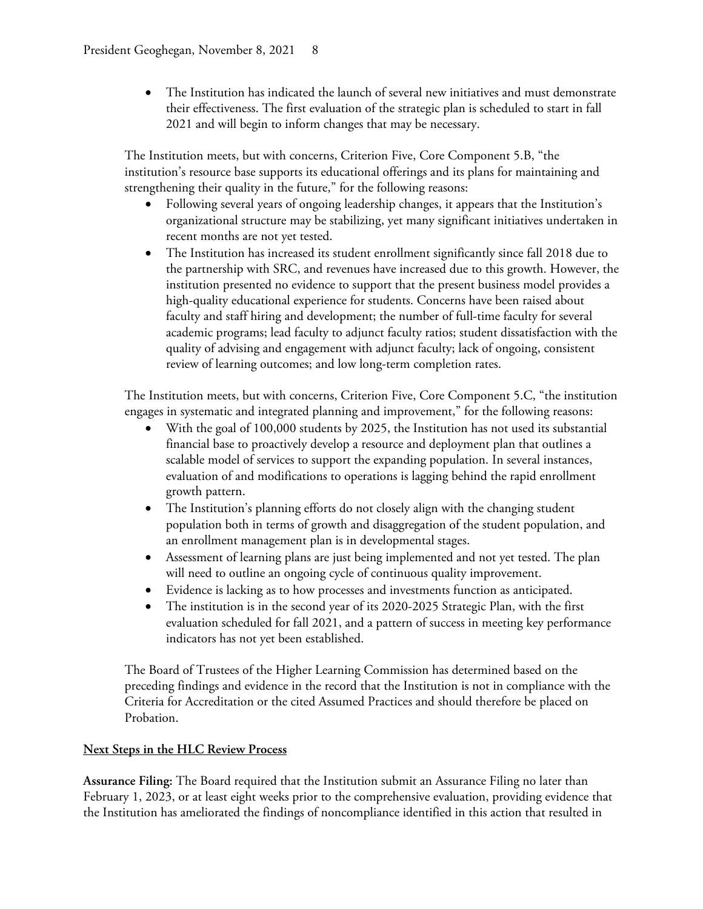• The Institution has indicated the launch of several new initiatives and must demonstrate their effectiveness. The first evaluation of the strategic plan is scheduled to start in fall 2021 and will begin to inform changes that may be necessary.

The Institution meets, but with concerns, Criterion Five, Core Component 5.B, "the institution's resource base supports its educational offerings and its plans for maintaining and strengthening their quality in the future," for the following reasons:

- Following several years of ongoing leadership changes, it appears that the Institution's organizational structure may be stabilizing, yet many significant initiatives undertaken in recent months are not yet tested.
- The Institution has increased its student enrollment significantly since fall 2018 due to the partnership with SRC, and revenues have increased due to this growth. However, the institution presented no evidence to support that the present business model provides a high-quality educational experience for students. Concerns have been raised about faculty and staff hiring and development; the number of full-time faculty for several academic programs; lead faculty to adjunct faculty ratios; student dissatisfaction with the quality of advising and engagement with adjunct faculty; lack of ongoing, consistent review of learning outcomes; and low long-term completion rates.

The Institution meets, but with concerns, Criterion Five, Core Component 5.C, "the institution engages in systematic and integrated planning and improvement," for the following reasons:

- With the goal of 100,000 students by 2025, the Institution has not used its substantial financial base to proactively develop a resource and deployment plan that outlines a scalable model of services to support the expanding population. In several instances, evaluation of and modifications to operations is lagging behind the rapid enrollment growth pattern.
- The Institution's planning efforts do not closely align with the changing student population both in terms of growth and disaggregation of the student population, and an enrollment management plan is in developmental stages.
- Assessment of learning plans are just being implemented and not yet tested. The plan will need to outline an ongoing cycle of continuous quality improvement.
- Evidence is lacking as to how processes and investments function as anticipated.
- The institution is in the second year of its 2020-2025 Strategic Plan, with the first evaluation scheduled for fall 2021, and a pattern of success in meeting key performance indicators has not yet been established.

The Board of Trustees of the Higher Learning Commission has determined based on the preceding findings and evidence in the record that the Institution is not in compliance with the Criteria for Accreditation or the cited Assumed Practices and should therefore be placed on Probation.

## **Next Steps in the HLC Review Process**

**Assurance Filing:** The Board required that the Institution submit an Assurance Filing no later than February 1, 2023, or at least eight weeks prior to the comprehensive evaluation, providing evidence that the Institution has ameliorated the findings of noncompliance identified in this action that resulted in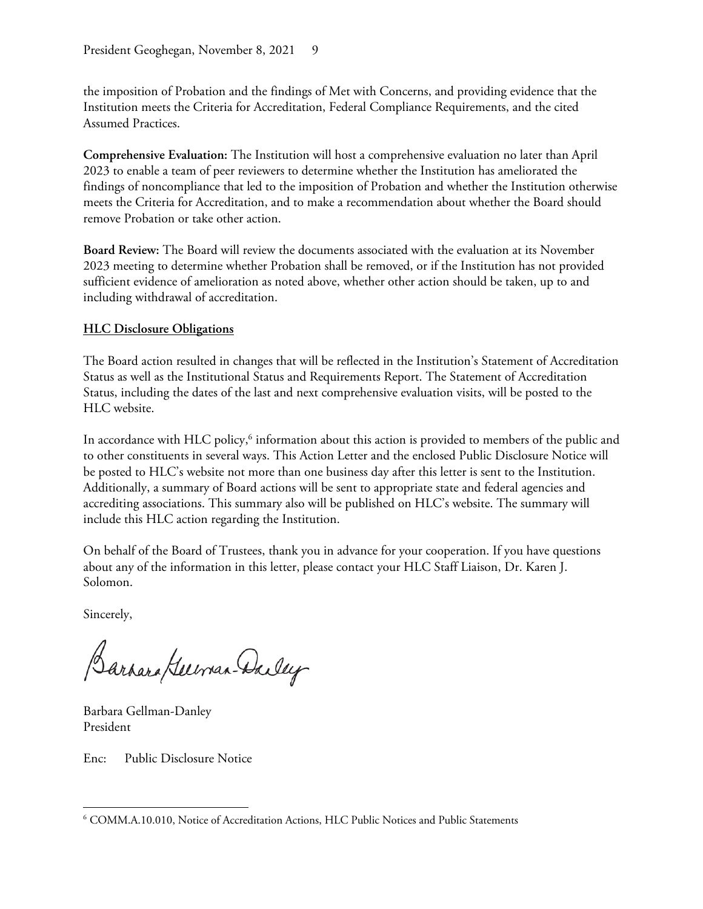the imposition of Probation and the findings of Met with Concerns, and providing evidence that the Institution meets the Criteria for Accreditation, Federal Compliance Requirements, and the cited Assumed Practices.

**Comprehensive Evaluation:** The Institution will host a comprehensive evaluation no later than April 2023 to enable a team of peer reviewers to determine whether the Institution has ameliorated the findings of noncompliance that led to the imposition of Probation and whether the Institution otherwise meets the Criteria for Accreditation, and to make a recommendation about whether the Board should remove Probation or take other action.

**Board Review:** The Board will review the documents associated with the evaluation at its November 2023 meeting to determine whether Probation shall be removed, or if the Institution has not provided sufficient evidence of amelioration as noted above, whether other action should be taken, up to and including withdrawal of accreditation.

## **HLC Disclosure Obligations**

The Board action resulted in changes that will be reflected in the Institution's Statement of Accreditation Status as well as the Institutional Status and Requirements Report. The Statement of Accreditation Status, including the dates of the last and next comprehensive evaluation visits, will be posted to the HLC website.

In accordance with HLC policy, $6$  information about this action is provided to members of the public and to other constituents in several ways. This Action Letter and the enclosed Public Disclosure Notice will be posted to HLC's website not more than one business day after this letter is sent to the Institution. Additionally, a summary of Board actions will be sent to appropriate state and federal agencies and accrediting associations. This summary also will be published on HLC's website. The summary will include this HLC action regarding the Institution.

On behalf of the Board of Trustees, thank you in advance for your cooperation. If you have questions about any of the information in this letter, please contact your HLC Staff Liaison, Dr. Karen J. Solomon.

Sincerely,

Barrara German-Dailey

Barbara Gellman-Danley President

Enc: Public Disclosure Notice

<sup>6</sup> COMM.A.10.010, Notice of Accreditation Actions, HLC Public Notices and Public Statements